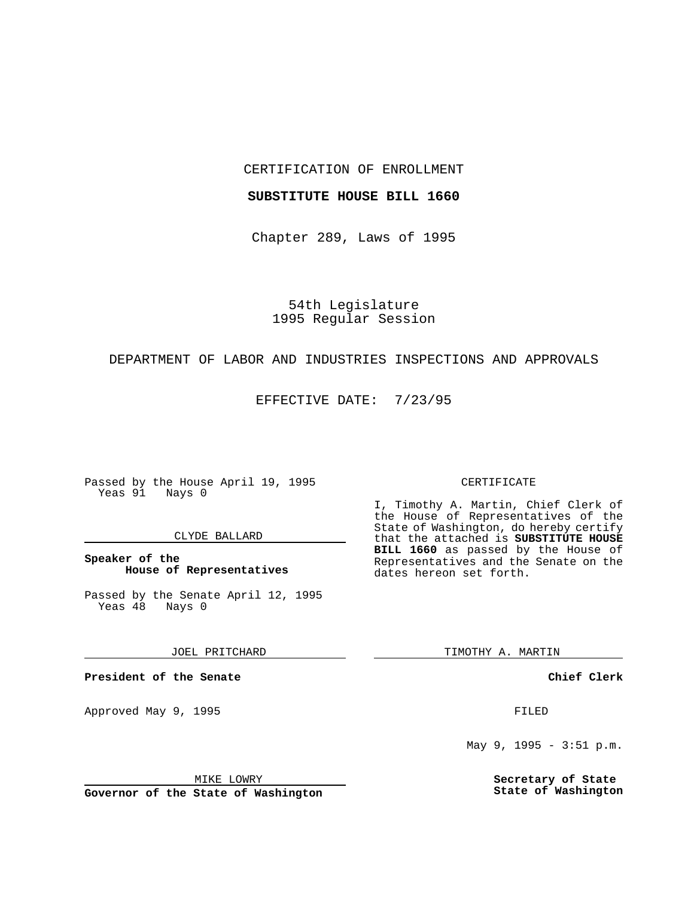CERTIFICATION OF ENROLLMENT

#### **SUBSTITUTE HOUSE BILL 1660**

Chapter 289, Laws of 1995

54th Legislature 1995 Regular Session

## DEPARTMENT OF LABOR AND INDUSTRIES INSPECTIONS AND APPROVALS

EFFECTIVE DATE: 7/23/95

Passed by the House April 19, 1995 Yeas 91 Nays 0

## CLYDE BALLARD

## **Speaker of the House of Representatives**

Passed by the Senate April 12, 1995<br>Yeas 48 Nays 0 Yeas 48

### JOEL PRITCHARD

**President of the Senate**

Approved May 9, 1995 **FILED** 

### MIKE LOWRY

**Governor of the State of Washington**

#### CERTIFICATE

I, Timothy A. Martin, Chief Clerk of the House of Representatives of the State of Washington, do hereby certify that the attached is **SUBSTITUTE HOUSE BILL 1660** as passed by the House of Representatives and the Senate on the dates hereon set forth.

TIMOTHY A. MARTIN

## **Chief Clerk**

May 9, 1995 - 3:51 p.m.

**Secretary of State State of Washington**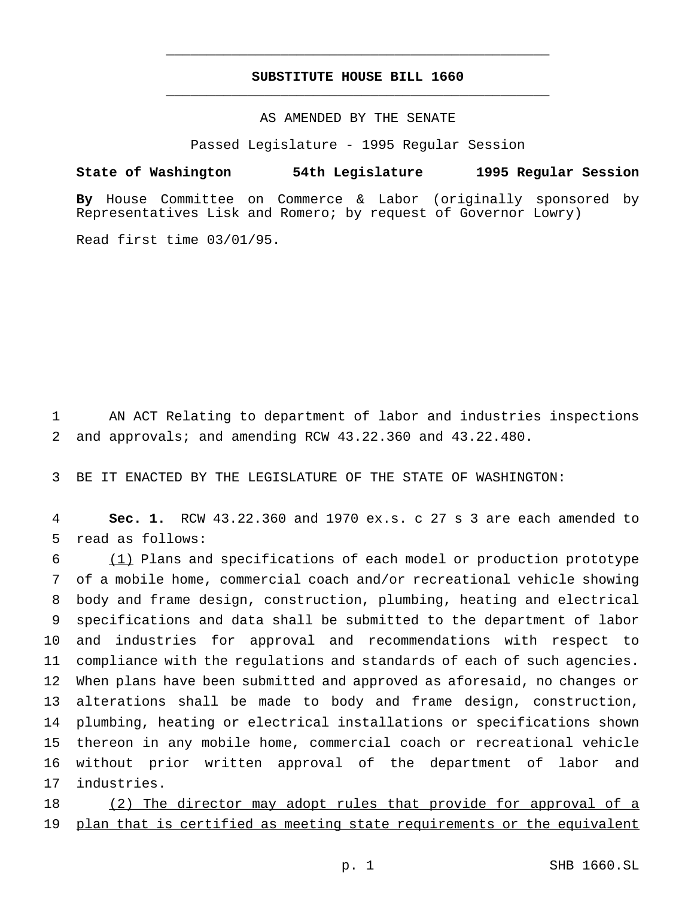# **SUBSTITUTE HOUSE BILL 1660** \_\_\_\_\_\_\_\_\_\_\_\_\_\_\_\_\_\_\_\_\_\_\_\_\_\_\_\_\_\_\_\_\_\_\_\_\_\_\_\_\_\_\_\_\_\_\_

\_\_\_\_\_\_\_\_\_\_\_\_\_\_\_\_\_\_\_\_\_\_\_\_\_\_\_\_\_\_\_\_\_\_\_\_\_\_\_\_\_\_\_\_\_\_\_

# AS AMENDED BY THE SENATE

Passed Legislature - 1995 Regular Session

## **State of Washington 54th Legislature 1995 Regular Session**

**By** House Committee on Commerce & Labor (originally sponsored by Representatives Lisk and Romero; by request of Governor Lowry)

Read first time 03/01/95.

 AN ACT Relating to department of labor and industries inspections and approvals; and amending RCW 43.22.360 and 43.22.480.

BE IT ENACTED BY THE LEGISLATURE OF THE STATE OF WASHINGTON:

 **Sec. 1.** RCW 43.22.360 and 1970 ex.s. c 27 s 3 are each amended to read as follows:

 (1) Plans and specifications of each model or production prototype of a mobile home, commercial coach and/or recreational vehicle showing body and frame design, construction, plumbing, heating and electrical specifications and data shall be submitted to the department of labor and industries for approval and recommendations with respect to compliance with the regulations and standards of each of such agencies. When plans have been submitted and approved as aforesaid, no changes or alterations shall be made to body and frame design, construction, plumbing, heating or electrical installations or specifications shown thereon in any mobile home, commercial coach or recreational vehicle without prior written approval of the department of labor and industries.

18 (2) The director may adopt rules that provide for approval of a plan that is certified as meeting state requirements or the equivalent